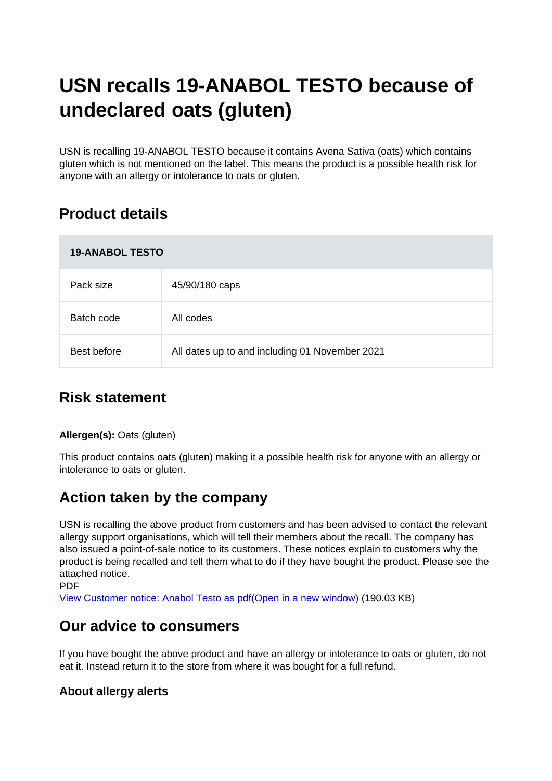# USN recalls 19-ANABOL TESTO because of undeclared oats (gluten)

USN is recalling 19-ANABOL TESTO because it contains Avena Sativa (oats) which contains gluten which is not mentioned on the label. This means the product is a possible health risk for anyone with an allergy or intolerance to oats or gluten.

## Product details

| <b>19-ANABOL TESTO</b> |                                                |
|------------------------|------------------------------------------------|
| Pack size              | 45/90/180 caps                                 |
| Batch code             | All codes                                      |
| Best before            | All dates up to and including 01 November 2021 |

### Risk statement

Allergen(s): Oats (gluten)

This product contains oats (gluten) making it a possible health risk for anyone with an allergy or intolerance to oats or gluten.

#### Action taken by the company

USN is recalling the above product from customers and has been advised to contact the relevant allergy support organisations, which will tell their members about the recall. The company has also issued a point-of-sale notice to its customers. These notices explain to customers why the product is being recalled and tell them what to do if they have bought the product. Please see the attached notice.

**PDF** 

[View Customer notice: Anabol Testo as pdf\(Open in a new window\)](https://s3-eu-west-1.amazonaws.com/fsa-alerts-files/production/FSA-AA-40-2019/19-ANABOL-RECALL-Customer-Poster-020419.pdf) (190.03 KB)

#### Our advice to consumers

If you have bought the above product and have an allergy or intolerance to oats or gluten, do not eat it. Instead return it to the store from where it was bought for a full refund.

About allergy alerts